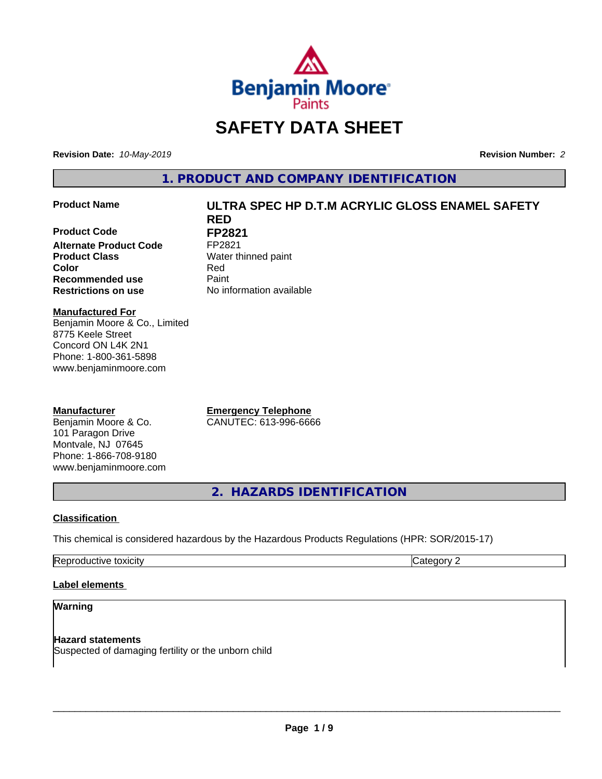

# **SAFETY DATA SHEET**

**Revision Date:** *10-May-2019* **Revision Number:** *2*

**1. PRODUCT AND COMPANY IDENTIFICATION**

**Product Code FP2821**<br>Alternate Product Code FP2821 **Alternate Product Code Product Class** Water thinned paint **Color** Red **Recommended use Caint Restrictions on use** No information available

# **Product Name ULTRA SPEC HP D.T.M ACRYLIC GLOSS ENAMEL SAFETY RED**

**Manufactured For** Benjamin Moore & Co., Limited 8775 Keele Street Concord ON L4K 2N1 Phone: 1-800-361-5898 www.benjaminmoore.com

# **Manufacturer**

Benjamin Moore & Co. 101 Paragon Drive Montvale, NJ 07645 Phone: 1-866-708-9180 www.benjaminmoore.com

**Emergency Telephone** CANUTEC: 613-996-6666

**2. HAZARDS IDENTIFICATION**

# **Classification**

This chemical is considered hazardous by the Hazardous Products Regulations (HPR: SOR/2015-17)

Reproductive toxicity **Category 2 Category 2** 

# **Label elements**

## **Warning**

**Hazard statements** Suspected of damaging fertility or the unborn child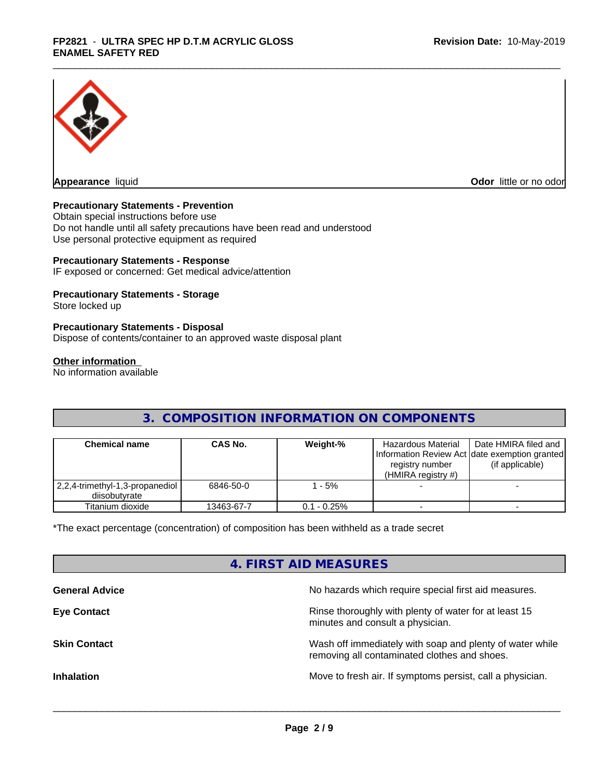

**Appearance** liquid

**Odor** little or no odor

### **Precautionary Statements - Prevention**

Obtain special instructions before use Do not handle until all safety precautions have been read and understood Use personal protective equipment as required

#### **Precautionary Statements - Response**

IF exposed or concerned: Get medical advice/attention

### **Precautionary Statements - Storage**

Store locked up

#### **Precautionary Statements - Disposal**

Dispose of contents/container to an approved waste disposal plant

#### **Other information**

No information available

# **3. COMPOSITION INFORMATION ON COMPONENTS**

| <b>Chemical name</b>                               | CAS No.    | Weight-%      | Hazardous Material<br>registry number<br>(HMIRA registry $#$ ) | Date HMIRA filed and<br>Information Review Act Idate exemption granted<br>(if applicable) |
|----------------------------------------------------|------------|---------------|----------------------------------------------------------------|-------------------------------------------------------------------------------------------|
| 2,2,4-trimethyl-1,3-propanediol  <br>diisobutvrate | 6846-50-0  | $-5%$         |                                                                |                                                                                           |
| Titanium dioxide                                   | 13463-67-7 | $0.1 - 0.25%$ |                                                                |                                                                                           |

\*The exact percentage (concentration) of composition has been withheld as a trade secret

# **4. FIRST AID MEASURES**

| <b>General Advice</b> | No hazards which require special first aid measures.                                                     |
|-----------------------|----------------------------------------------------------------------------------------------------------|
| <b>Eye Contact</b>    | Rinse thoroughly with plenty of water for at least 15<br>minutes and consult a physician.                |
| <b>Skin Contact</b>   | Wash off immediately with soap and plenty of water while<br>removing all contaminated clothes and shoes. |
| <b>Inhalation</b>     | Move to fresh air. If symptoms persist, call a physician.                                                |
|                       |                                                                                                          |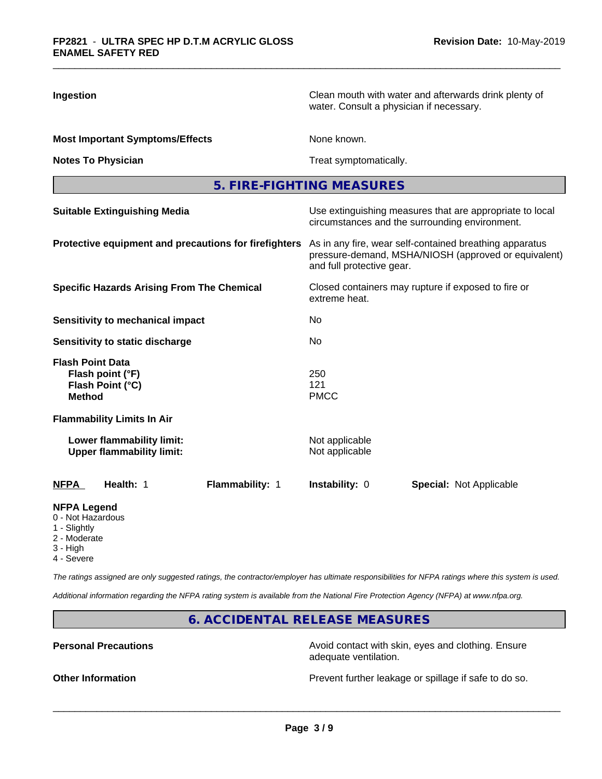| Ingestion                                                                              | Clean mouth with water and afterwards drink plenty of<br>water. Consult a physician if necessary.                                            |  |  |  |
|----------------------------------------------------------------------------------------|----------------------------------------------------------------------------------------------------------------------------------------------|--|--|--|
| <b>Most Important Symptoms/Effects</b>                                                 | None known.                                                                                                                                  |  |  |  |
| <b>Notes To Physician</b>                                                              | Treat symptomatically.                                                                                                                       |  |  |  |
|                                                                                        | 5. FIRE-FIGHTING MEASURES                                                                                                                    |  |  |  |
| <b>Suitable Extinguishing Media</b>                                                    | Use extinguishing measures that are appropriate to local<br>circumstances and the surrounding environment.                                   |  |  |  |
| Protective equipment and precautions for firefighters                                  | As in any fire, wear self-contained breathing apparatus<br>pressure-demand, MSHA/NIOSH (approved or equivalent)<br>and full protective gear. |  |  |  |
| <b>Specific Hazards Arising From The Chemical</b>                                      | Closed containers may rupture if exposed to fire or<br>extreme heat.                                                                         |  |  |  |
| Sensitivity to mechanical impact                                                       | No.                                                                                                                                          |  |  |  |
| Sensitivity to static discharge                                                        | No                                                                                                                                           |  |  |  |
| <b>Flash Point Data</b><br>Flash point (°F)<br>Flash Point (°C)<br><b>Method</b>       | 250<br>121<br><b>PMCC</b>                                                                                                                    |  |  |  |
| <b>Flammability Limits In Air</b>                                                      |                                                                                                                                              |  |  |  |
| Lower flammability limit:<br><b>Upper flammability limit:</b>                          | Not applicable<br>Not applicable                                                                                                             |  |  |  |
| Health: 1<br>Flammability: 1<br><b>NFPA</b>                                            | Instability: 0<br><b>Special: Not Applicable</b>                                                                                             |  |  |  |
| <b>NFPA Legend</b><br>0 - Not Hazardous<br>1 - Slightly<br>2 - Moderate<br>$3 - H$ iah |                                                                                                                                              |  |  |  |

4 - Severe

*The ratings assigned are only suggested ratings, the contractor/employer has ultimate responsibilities for NFPA ratings where this system is used.*

*Additional information regarding the NFPA rating system is available from the National Fire Protection Agency (NFPA) at www.nfpa.org.*

**6. ACCIDENTAL RELEASE MEASURES**

**Personal Precautions Precautions** Avoid contact with skin, eyes and clothing. Ensure adequate ventilation.

**Other Information Other Information Prevent further leakage or spillage if safe to do so.**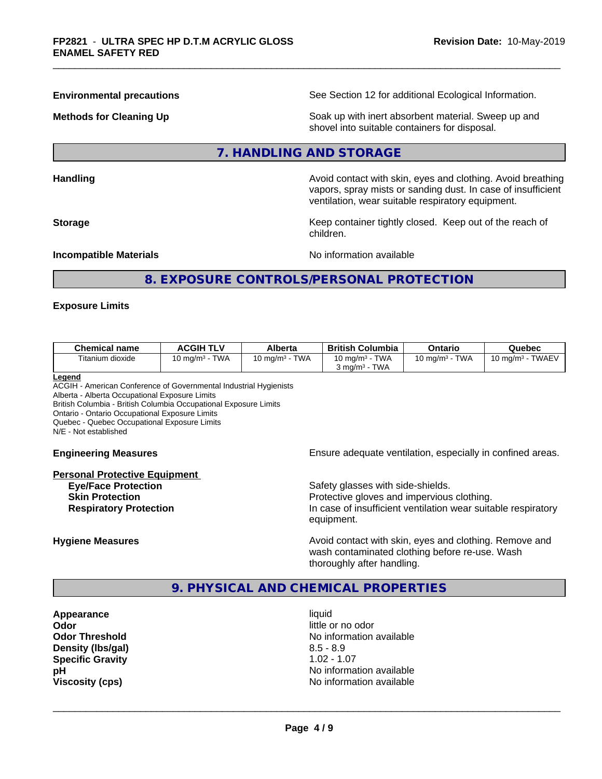**Environmental precautions** See Section 12 for additional Ecological Information.

**Methods for Cleaning Up Example 20 Soak** up with inert absorbent material. Sweep up and shovel into suitable containers for disposal.

# **7. HANDLING AND STORAGE**

**Handling Handling Avoid contact with skin, eyes and clothing. Avoid breathing H** 

vapors, spray mists or sanding dust. In case of insufficient ventilation, wear suitable respiratory equipment. **Storage Keep container tightly closed. Keep out of the reach of Keep** container tightly closed. Keep out of the reach of

**Incompatible Materials Incompatible Materials No information available** 

# **8. EXPOSURE CONTROLS/PERSONAL PROTECTION**

children.

#### **Exposure Limits**

| <b>Chemical name</b>    | <b>ACGIH TLV</b>       | <b>Alberta</b>                    | <b>British Columbia</b>   | Ontario                           | Quebec                             |
|-------------------------|------------------------|-----------------------------------|---------------------------|-----------------------------------|------------------------------------|
| $-$<br>Fitanium dioxide | <b>TWA</b><br>.∪ mq/mª | <b>TWA</b><br>$10 \text{ ma/m}^3$ | <b>TWA</b><br>10 mg/m $3$ | <b>TWA</b><br>$10 \text{ ma/m}^3$ | <b>TWAEV</b><br>10 ma/m $^{\rm 3}$ |
|                         |                        |                                   | <b>TWA</b><br>ය mɑ/mª     |                                   |                                    |

#### **Legend**

ACGIH - American Conference of Governmental Industrial Hygienists Alberta - Alberta Occupational Exposure Limits British Columbia - British Columbia Occupational Exposure Limits Ontario - Ontario Occupational Exposure Limits Quebec - Quebec Occupational Exposure Limits N/E - Not established

# **Personal Protective Equipment Eye/Face Protection Safety glasses with side-shields.** Safety glasses with side-shields.

**Engineering Measures Ensure adequate ventilation, especially in confined areas.** 

**Skin Protection Protection Protective gloves and impervious clothing. Respiratory Protection In case of insufficient ventilation wear suitable respiratory** equipment.

**Hygiene Measures Avoid contact with skin, eyes and clothing. Remove and Avoid contact with skin, eyes and clothing. Remove and Avoid contact with skin, eyes and clothing. Remove and** wash contaminated clothing before re-use. Wash thoroughly after handling.

# **9. PHYSICAL AND CHEMICAL PROPERTIES**

**Appearance** liquid **Odor Odor** little or no odor<br> **Odor Threshold Containery of the Containery of the Containery of the Containery of the Containery of the Containery of the Containery of the Containery of the Containery of the Container Density (lbs/gal)** 8.5 - 8.9 **Specific Gravity** 1.02 - 1.07<br> **pH** No informa

**No information available No information available Viscosity (cps)** No information available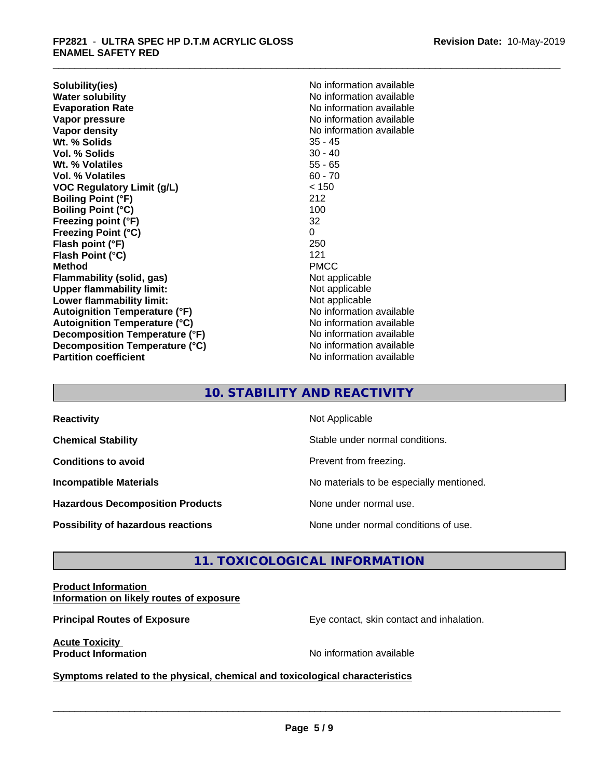**Solubility(ies)** No information available **Water solubility**<br> **Evaporation Rate**<br> **Evaporation Rate**<br> **Evaporation Rate Vapor pressure**<br> **Vapor density**<br> **Vapor density**<br> **Vapor density**<br> **Vapor density** Wt. % Solids **Vol. % Solids** 30 - 40 **Wt. % Volatiles** 55 - 65 **Vol. % Volatiles** 60 - 70 **VOC Regulatory Limit (g/L)** < 150 **Boiling Point (°F)** 212 **Boiling Point (°C)** 100 **Freezing point (°F)** 32 **Freezing Point (°C)** 0 **Flash point (°F) Flash Point (°C)** 121 **Method** PMCC **Flammability (solid, gas)** Not applicable **Upper flammability limit:**<br> **Lower flammability limit:**<br>
Not applicable<br>
Not applicable **Lower flammability limit: Autoignition Temperature (°F)** No information available **Autoignition Temperature (°C)** No information available **Decomposition Temperature (°F)** No information available **Decomposition Temperature (°C)** No information available **Partition coefficient CONSTRANSISTS No information available** 

**Evaporation Rate** No information available **No information available**<br>35 - 45

# **10. STABILITY AND REACTIVITY**

| <b>Reactivity</b>                         | Not Applicable                           |
|-------------------------------------------|------------------------------------------|
| <b>Chemical Stability</b>                 | Stable under normal conditions.          |
| <b>Conditions to avoid</b>                | Prevent from freezing.                   |
| <b>Incompatible Materials</b>             | No materials to be especially mentioned. |
| <b>Hazardous Decomposition Products</b>   | None under normal use.                   |
| <b>Possibility of hazardous reactions</b> | None under normal conditions of use.     |

# **11. TOXICOLOGICAL INFORMATION**

#### **Product Information Information on likely routes of exposure**

**Principal Routes of Exposure Exposure** Eye contact, skin contact and inhalation.

**Acute Toxicity** 

**Product Information Contract Contract Contract Contract Contract Contract Contract Contract Contract Contract Contract Contract Contract Contract Contract Contract Contract Contract Contract Contract Contract Contract C** 

 $\overline{\phantom{a}}$  ,  $\overline{\phantom{a}}$  ,  $\overline{\phantom{a}}$  ,  $\overline{\phantom{a}}$  ,  $\overline{\phantom{a}}$  ,  $\overline{\phantom{a}}$  ,  $\overline{\phantom{a}}$  ,  $\overline{\phantom{a}}$  ,  $\overline{\phantom{a}}$  ,  $\overline{\phantom{a}}$  ,  $\overline{\phantom{a}}$  ,  $\overline{\phantom{a}}$  ,  $\overline{\phantom{a}}$  ,  $\overline{\phantom{a}}$  ,  $\overline{\phantom{a}}$  ,  $\overline{\phantom{a}}$ 

**Symptoms related to the physical, chemical and toxicological characteristics**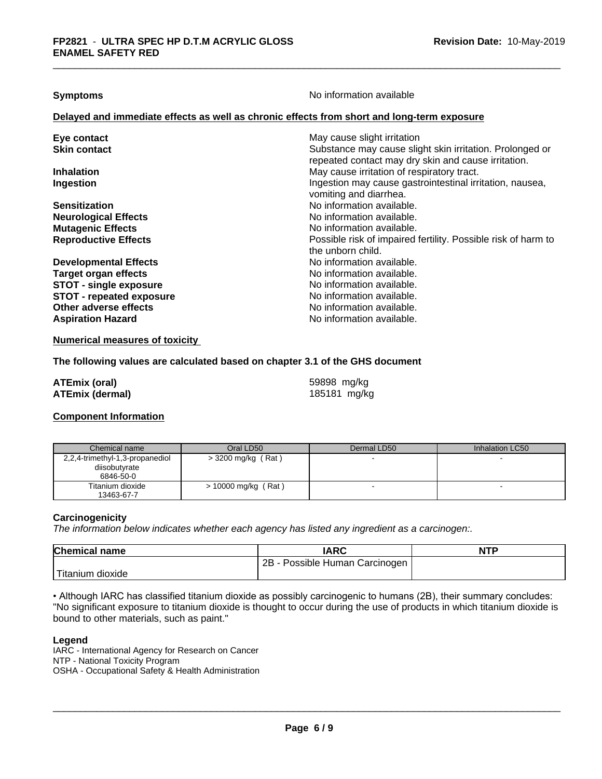**Symptoms** No information available

#### **Delayed and immediate effects as well as chronic effects from short and long-term exposure**

| Eye contact<br><b>Skin contact</b> | May cause slight irritation<br>Substance may cause slight skin irritation. Prolonged or<br>repeated contact may dry skin and cause irritation. |
|------------------------------------|------------------------------------------------------------------------------------------------------------------------------------------------|
| <b>Inhalation</b>                  | May cause irritation of respiratory tract.                                                                                                     |
| Ingestion                          | Ingestion may cause gastrointestinal irritation, nausea,<br>vomiting and diarrhea.                                                             |
| <b>Sensitization</b>               | No information available.                                                                                                                      |
| <b>Neurological Effects</b>        | No information available.                                                                                                                      |
| <b>Mutagenic Effects</b>           | No information available.                                                                                                                      |
| <b>Reproductive Effects</b>        | Possible risk of impaired fertility. Possible risk of harm to<br>the unborn child.                                                             |
| <b>Developmental Effects</b>       | No information available.                                                                                                                      |
| <b>Target organ effects</b>        | No information available.                                                                                                                      |
| <b>STOT - single exposure</b>      | No information available.                                                                                                                      |
| <b>STOT - repeated exposure</b>    | No information available.                                                                                                                      |
| Other adverse effects              | No information available.                                                                                                                      |
| <b>Aspiration Hazard</b>           | No information available.                                                                                                                      |

#### **Numerical measures of toxicity**

#### **The following values are calculated based on chapter 3.1 of the GHS document**

| <b>ATEmix (oral)</b>   | 59898 mg/kg  |
|------------------------|--------------|
| <b>ATEmix (dermal)</b> | 185181 mg/kg |

# **Component Information**

| Chemical name                   | Oral LD50            | Dermal LD50 | Inhalation LC50 |
|---------------------------------|----------------------|-------------|-----------------|
| 2,2,4-trimethyl-1,3-propanediol | $>$ 3200 mg/kg (Rat) |             |                 |
| diisobutyrate                   |                      |             |                 |
| 6846-50-0                       |                      |             |                 |
| Titanium dioxide                | > 10000 mg/kg (Rat)  |             |                 |
| 13463-67-7                      |                      |             |                 |

#### **Carcinogenicity**

*The information below indicateswhether each agency has listed any ingredient as a carcinogen:.*

| <b>Chemical name</b> | <b>IARC</b>                           | <b>NTP</b> |
|----------------------|---------------------------------------|------------|
|                      | 2Β<br>Possible Human⊣<br>า Carcınogen |            |
| dioxide<br>ı ıtanıum |                                       |            |

• Although IARC has classified titanium dioxide as possibly carcinogenic to humans (2B), their summary concludes: "No significant exposure to titanium dioxide is thought to occur during the use of products in which titanium dioxide is bound to other materials, such as paint."

#### **Legend**

IARC - International Agency for Research on Cancer NTP - National Toxicity Program OSHA - Occupational Safety & Health Administration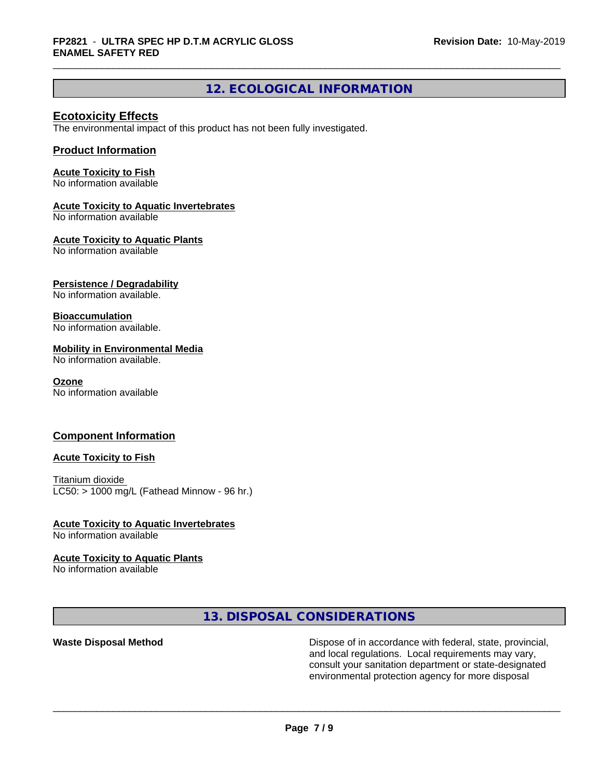# **12. ECOLOGICAL INFORMATION**

# **Ecotoxicity Effects**

The environmental impact of this product has not been fully investigated.

## **Product Information**

#### **Acute Toxicity to Fish**

No information available

### **Acute Toxicity to Aquatic Invertebrates**

No information available

### **Acute Toxicity to Aquatic Plants**

No information available

# **Persistence / Degradability**

No information available.

#### **Bioaccumulation**

No information available.

### **Mobility in Environmental Media**

No information available.

#### **Ozone**

No information available

# **Component Information**

#### **Acute Toxicity to Fish**

Titanium dioxide  $LC50:$  > 1000 mg/L (Fathead Minnow - 96 hr.)

#### **Acute Toxicity to Aquatic Invertebrates**

No information available

# **Acute Toxicity to Aquatic Plants**

No information available

**13. DISPOSAL CONSIDERATIONS**

Waste Disposal Method **Dispose of in accordance with federal, state, provincial,** and local regulations. Local requirements may vary, consult your sanitation department or state-designated environmental protection agency for more disposal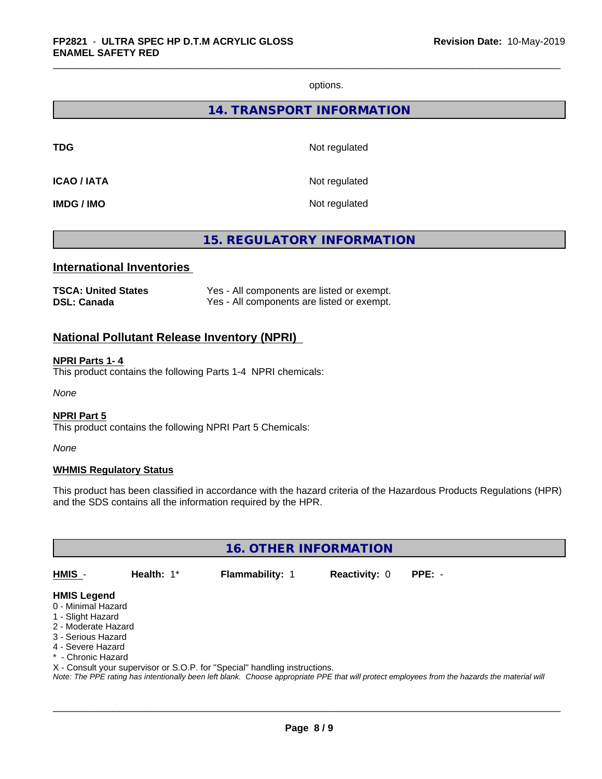options.

# **14. TRANSPORT INFORMATION**

**TDG** Not regulated

**ICAO / IATA** Not regulated

**IMDG / IMO** Not regulated

# **15. REGULATORY INFORMATION**

# **International Inventories**

| <b>TSCA: United States</b> | Yes - All components are listed or exempt. |
|----------------------------|--------------------------------------------|
| <b>DSL: Canada</b>         | Yes - All components are listed or exempt. |

# **National Pollutant Release Inventory (NPRI)**

#### **NPRI Parts 1- 4**

This product contains the following Parts 1-4 NPRI chemicals:

*None*

#### **NPRI Part 5**

This product contains the following NPRI Part 5 Chemicals:

*None*

#### **WHMIS Regulatory Status**

This product has been classified in accordance with the hazard criteria of the Hazardous Products Regulations (HPR) and the SDS contains all the information required by the HPR.

**16. OTHER INFORMATION**

**HMIS** - **Health:** 1\* **Flammability:** 1 **Reactivity:** 0 **PPE:** -

 $\overline{\phantom{a}}$  ,  $\overline{\phantom{a}}$  ,  $\overline{\phantom{a}}$  ,  $\overline{\phantom{a}}$  ,  $\overline{\phantom{a}}$  ,  $\overline{\phantom{a}}$  ,  $\overline{\phantom{a}}$  ,  $\overline{\phantom{a}}$  ,  $\overline{\phantom{a}}$  ,  $\overline{\phantom{a}}$  ,  $\overline{\phantom{a}}$  ,  $\overline{\phantom{a}}$  ,  $\overline{\phantom{a}}$  ,  $\overline{\phantom{a}}$  ,  $\overline{\phantom{a}}$  ,  $\overline{\phantom{a}}$ 

#### **HMIS Legend**

- 0 Minimal Hazard
- 1 Slight Hazard
- 2 Moderate Hazard
- 3 Serious Hazard
- 4 Severe Hazard
- \* Chronic Hazard
- X Consult your supervisor or S.O.P. for "Special" handling instructions.

*Note: The PPE rating has intentionally been left blank. Choose appropriate PPE that will protect employees from the hazards the material will*